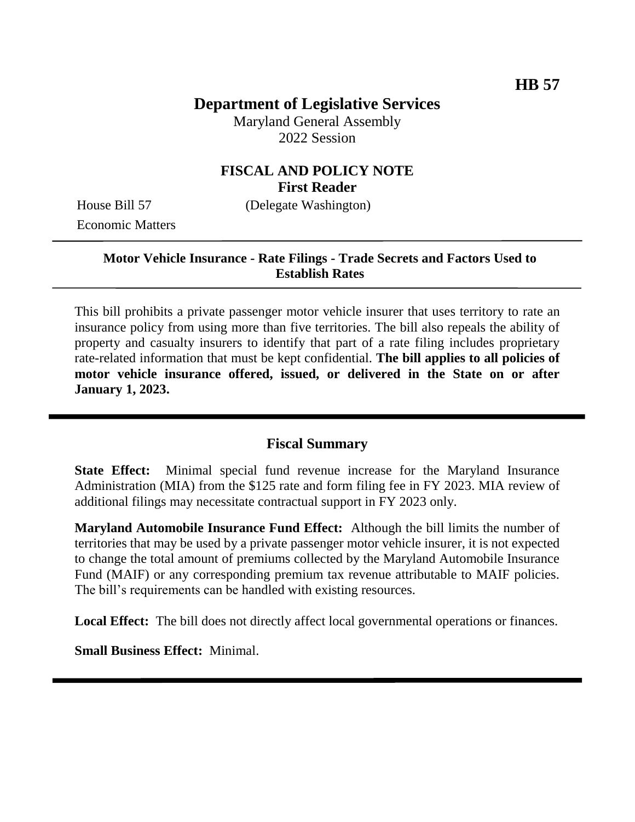# **Department of Legislative Services**

Maryland General Assembly 2022 Session

## **FISCAL AND POLICY NOTE First Reader**

Economic Matters

House Bill 57 (Delegate Washington)

#### **Motor Vehicle Insurance - Rate Filings - Trade Secrets and Factors Used to Establish Rates**

This bill prohibits a private passenger motor vehicle insurer that uses territory to rate an insurance policy from using more than five territories. The bill also repeals the ability of property and casualty insurers to identify that part of a rate filing includes proprietary rate-related information that must be kept confidential. **The bill applies to all policies of motor vehicle insurance offered, issued, or delivered in the State on or after January 1, 2023.**

#### **Fiscal Summary**

**State Effect:** Minimal special fund revenue increase for the Maryland Insurance Administration (MIA) from the \$125 rate and form filing fee in FY 2023. MIA review of additional filings may necessitate contractual support in FY 2023 only.

**Maryland Automobile Insurance Fund Effect:** Although the bill limits the number of territories that may be used by a private passenger motor vehicle insurer, it is not expected to change the total amount of premiums collected by the Maryland Automobile Insurance Fund (MAIF) or any corresponding premium tax revenue attributable to MAIF policies. The bill's requirements can be handled with existing resources.

Local Effect: The bill does not directly affect local governmental operations or finances.

**Small Business Effect:** Minimal.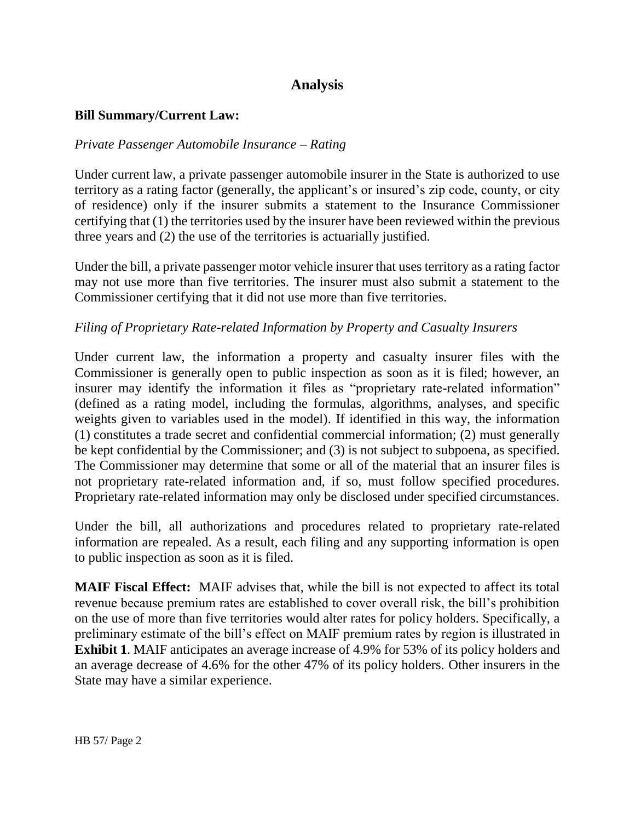# **Analysis**

#### **Bill Summary/Current Law:**

#### *Private Passenger Automobile Insurance – Rating*

Under current law, a private passenger automobile insurer in the State is authorized to use territory as a rating factor (generally, the applicant's or insured's zip code, county, or city of residence) only if the insurer submits a statement to the Insurance Commissioner certifying that (1) the territories used by the insurer have been reviewed within the previous three years and (2) the use of the territories is actuarially justified.

Under the bill, a private passenger motor vehicle insurer that uses territory as a rating factor may not use more than five territories. The insurer must also submit a statement to the Commissioner certifying that it did not use more than five territories.

#### *Filing of Proprietary Rate-related Information by Property and Casualty Insurers*

Under current law, the information a property and casualty insurer files with the Commissioner is generally open to public inspection as soon as it is filed; however, an insurer may identify the information it files as "proprietary rate-related information" (defined as a rating model, including the formulas, algorithms, analyses, and specific weights given to variables used in the model). If identified in this way, the information (1) constitutes a trade secret and confidential commercial information; (2) must generally be kept confidential by the Commissioner; and (3) is not subject to subpoena, as specified. The Commissioner may determine that some or all of the material that an insurer files is not proprietary rate-related information and, if so, must follow specified procedures. Proprietary rate-related information may only be disclosed under specified circumstances.

Under the bill, all authorizations and procedures related to proprietary rate-related information are repealed. As a result, each filing and any supporting information is open to public inspection as soon as it is filed.

**MAIF Fiscal Effect:** MAIF advises that, while the bill is not expected to affect its total revenue because premium rates are established to cover overall risk, the bill's prohibition on the use of more than five territories would alter rates for policy holders. Specifically, a preliminary estimate of the bill's effect on MAIF premium rates by region is illustrated in **Exhibit 1**. MAIF anticipates an average increase of 4.9% for 53% of its policy holders and an average decrease of 4.6% for the other 47% of its policy holders. Other insurers in the State may have a similar experience.